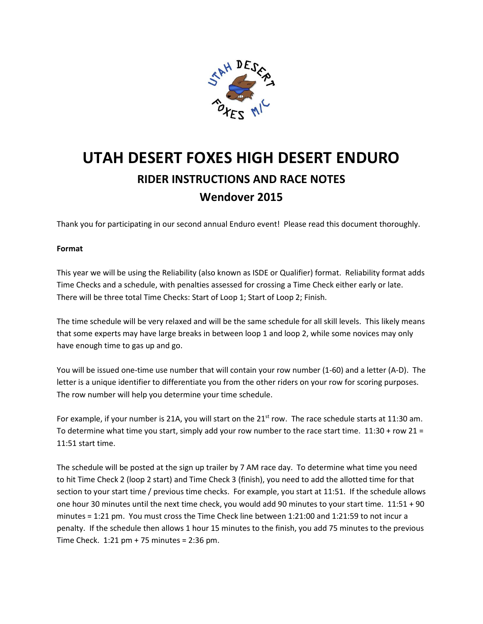

# UTAH DESERT FOXES HIGH DESERT ENDURO RIDER INSTRUCTIONS AND RACE NOTES Wendover 2015

Thank you for participating in our second annual Enduro event! Please read this document thoroughly.

## Format

This year we will be using the Reliability (also known as ISDE or Qualifier) format. Reliability format adds Time Checks and a schedule, with penalties assessed for crossing a Time Check either early or late. There will be three total Time Checks: Start of Loop 1; Start of Loop 2; Finish.

The time schedule will be very relaxed and will be the same schedule for all skill levels. This likely means that some experts may have large breaks in between loop 1 and loop 2, while some novices may only have enough time to gas up and go.

You will be issued one-time use number that will contain your row number (1-60) and a letter (A-D). The letter is a unique identifier to differentiate you from the other riders on your row for scoring purposes. The row number will help you determine your time schedule.

For example, if your number is 21A, you will start on the  $21<sup>st</sup>$  row. The race schedule starts at 11:30 am. To determine what time you start, simply add your row number to the race start time.  $11:30 + row 21 =$ 11:51 start time.

The schedule will be posted at the sign up trailer by 7 AM race day. To determine what time you need to hit Time Check 2 (loop 2 start) and Time Check 3 (finish), you need to add the allotted time for that section to your start time / previous time checks. For example, you start at 11:51. If the schedule allows one hour 30 minutes until the next time check, you would add 90 minutes to your start time. 11:51 + 90 minutes = 1:21 pm. You must cross the Time Check line between 1:21:00 and 1:21:59 to not incur a penalty. If the schedule then allows 1 hour 15 minutes to the finish, you add 75 minutes to the previous Time Check. 1:21 pm + 75 minutes = 2:36 pm.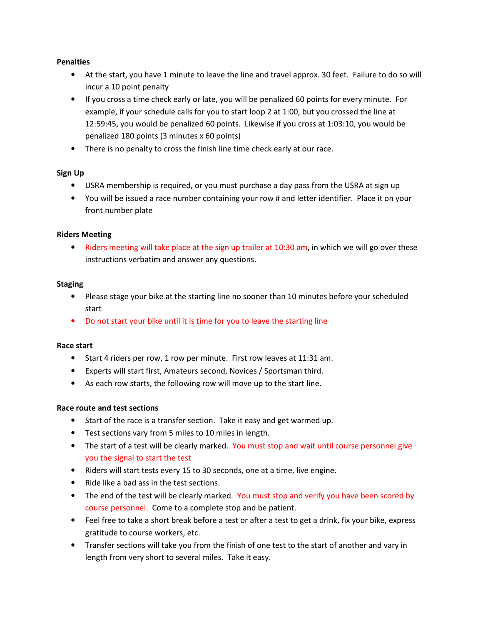## **Penalties**

- At the start, you have 1 minute to leave the line and travel approx. 30 feet. Failure to do so will incur a 10 point penalty
- If you cross a time check early or late, you will be penalized 60 points for every minute. For example, if your schedule calls for you to start loop 2 at 1:00, but you crossed the line at 12:59:45, you would be penalized 60 points. Likewise if you cross at 1:03:10, you would be penalized 180 points (3 minutes x 60 points)
- There is no penalty to cross the finish line time check early at our race.

#### Sign Up

- USRA membership is required, or you must purchase a day pass from the USRA at sign up
- You will be issued a race number containing your row # and letter identifier. Place it on your front number plate

#### Riders Meeting

• Riders meeting will take place at the sign up trailer at 10:30 am, in which we will go over these instructions verbatim and answer any questions.

#### **Staging**

- Please stage your bike at the starting line no sooner than 10 minutes before your scheduled start
- Do not start your bike until it is time for you to leave the starting line

## Race start

- Start 4 riders per row, 1 row per minute. First row leaves at 11:31 am.
- Experts will start first, Amateurs second, Novices / Sportsman third.
- As each row starts, the following row will move up to the start line.

## Race route and test sections

- Start of the race is a transfer section. Take it easy and get warmed up.
- Test sections vary from 5 miles to 10 miles in length.
- The start of a test will be clearly marked. You must stop and wait until course personnel give you the signal to start the test
- Riders will start tests every 15 to 30 seconds, one at a time, live engine.
- Ride like a bad ass in the test sections.
- The end of the test will be clearly marked. You must stop and verify you have been scored by course personnel. Come to a complete stop and be patient.
- Feel free to take a short break before a test or after a test to get a drink, fix your bike, express gratitude to course workers, etc.
- Transfer sections will take you from the finish of one test to the start of another and vary in length from very short to several miles. Take it easy.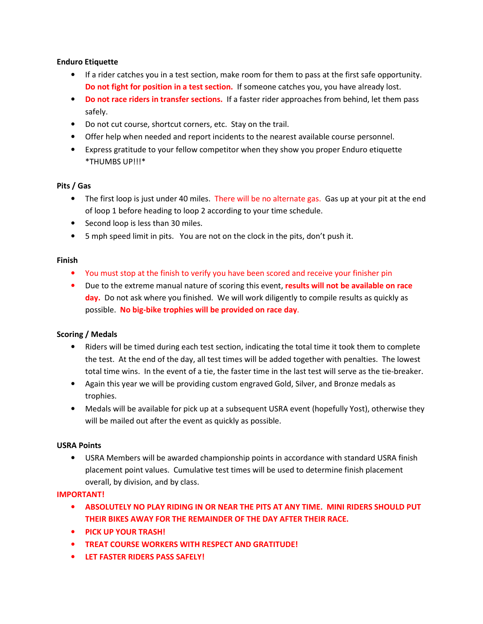## Enduro Etiquette

- If a rider catches you in a test section, make room for them to pass at the first safe opportunity. Do not fight for position in a test section. If someone catches you, you have already lost.
- Do not race riders in transfer sections. If a faster rider approaches from behind, let them pass safely.
- Do not cut course, shortcut corners, etc. Stay on the trail.
- Offer help when needed and report incidents to the nearest available course personnel.
- Express gratitude to your fellow competitor when they show you proper Enduro etiquette \*THUMBS UP!!!\*

## Pits / Gas

- The first loop is just under 40 miles. There will be no alternate gas. Gas up at your pit at the end of loop 1 before heading to loop 2 according to your time schedule.
- Second loop is less than 30 miles.
- 5 mph speed limit in pits. You are not on the clock in the pits, don't push it.

## Finish

- You must stop at the finish to verify you have been scored and receive your finisher pin
- Due to the extreme manual nature of scoring this event, results will not be available on race day. Do not ask where you finished. We will work diligently to compile results as quickly as possible. No big-bike trophies will be provided on race day.

## Scoring / Medals

- Riders will be timed during each test section, indicating the total time it took them to complete the test. At the end of the day, all test times will be added together with penalties. The lowest total time wins. In the event of a tie, the faster time in the last test will serve as the tie-breaker.
- Again this year we will be providing custom engraved Gold, Silver, and Bronze medals as trophies.
- Medals will be available for pick up at a subsequent USRA event (hopefully Yost), otherwise they will be mailed out after the event as quickly as possible.

## USRA Points

• USRA Members will be awarded championship points in accordance with standard USRA finish placement point values. Cumulative test times will be used to determine finish placement overall, by division, and by class.

## IMPORTANT!

- ABSOLUTELY NO PLAY RIDING IN OR NEAR THE PITS AT ANY TIME. MINI RIDERS SHOULD PUT THEIR BIKES AWAY FOR THE REMAINDER OF THE DAY AFTER THEIR RACE.
- PICK UP YOUR TRASH!
- TREAT COURSE WORKERS WITH RESPECT AND GRATITUDE!
- LET FASTER RIDERS PASS SAFELY!